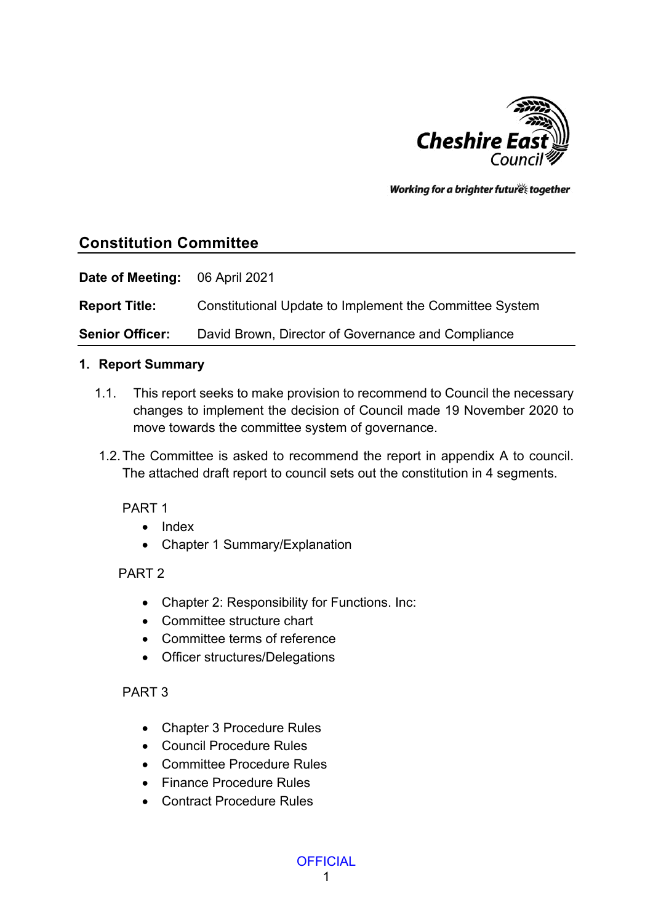

Working for a brighter futures together

# **Constitution Committee**

**Date of Meeting:** 06 April 2021

**Report Title:** Constitutional Update to Implement the Committee System

**Senior Officer:** David Brown, Director of Governance and Compliance

#### **1. Report Summary**

- 1.1. This report seeks to make provision to recommend to Council the necessary changes to implement the decision of Council made 19 November 2020 to move towards the committee system of governance.
- 1.2.The Committee is asked to recommend the report in appendix A to council. The attached draft report to council sets out the constitution in 4 segments.

PART 1

- Index
- Chapter 1 Summary/Explanation

#### PART 2

- Chapter 2: Responsibility for Functions. Inc:
- Committee structure chart
- Committee terms of reference
- Officer structures/Delegations

#### PART 3

- Chapter 3 Procedure Rules
- Council Procedure Rules
- Committee Procedure Rules
- Finance Procedure Rules
- Contract Procedure Rules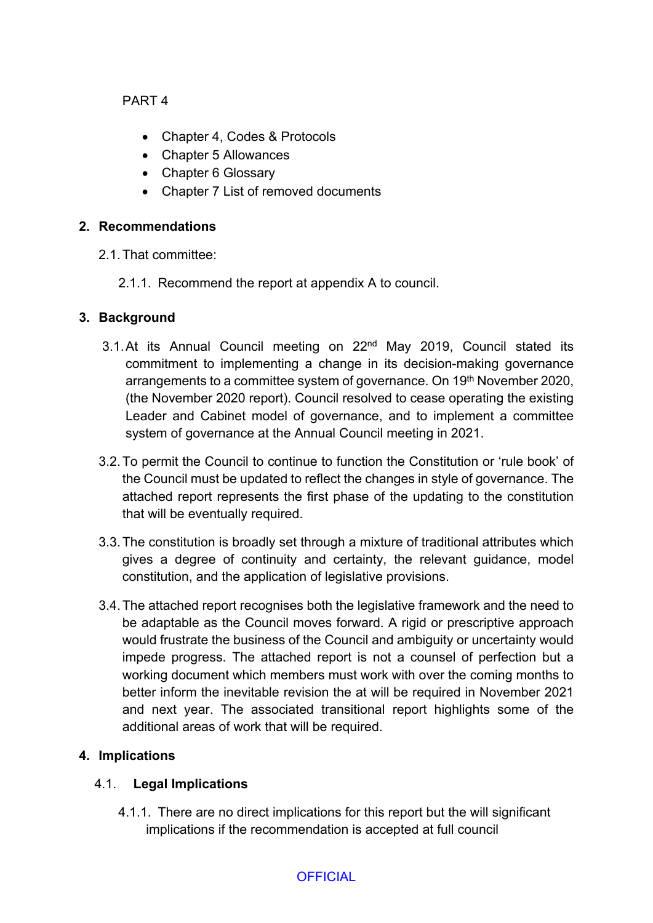PART 4

- Chapter 4, Codes & Protocols
- Chapter 5 Allowances
- Chapter 6 Glossary
- Chapter 7 List of removed documents

#### **2. Recommendations**

- 2.1.That committee:
	- 2.1.1. Recommend the report at appendix A to council.

#### **3. Background**

- 3.1. At its Annual Council meeting on 22<sup>nd</sup> May 2019, Council stated its commitment to implementing a change in its decision-making governance arrangements to a committee system of governance. On 19th November 2020, (the November 2020 report). Council resolved to cease operating the existing Leader and Cabinet model of governance, and to implement a committee system of governance at the Annual Council meeting in 2021.
- 3.2.To permit the Council to continue to function the Constitution or 'rule book' of the Council must be updated to reflect the changes in style of governance. The attached report represents the first phase of the updating to the constitution that will be eventually required.
- 3.3.The constitution is broadly set through a mixture of traditional attributes which gives a degree of continuity and certainty, the relevant guidance, model constitution, and the application of legislative provisions.
- 3.4.The attached report recognises both the legislative framework and the need to be adaptable as the Council moves forward. A rigid or prescriptive approach would frustrate the business of the Council and ambiguity or uncertainty would impede progress. The attached report is not a counsel of perfection but a working document which members must work with over the coming months to better inform the inevitable revision the at will be required in November 2021 and next year. The associated transitional report highlights some of the additional areas of work that will be required.

#### **4. Implications**

#### 4.1. **Legal Implications**

4.1.1. There are no direct implications for this report but the will significant implications if the recommendation is accepted at full council

#### **OFFICIAL**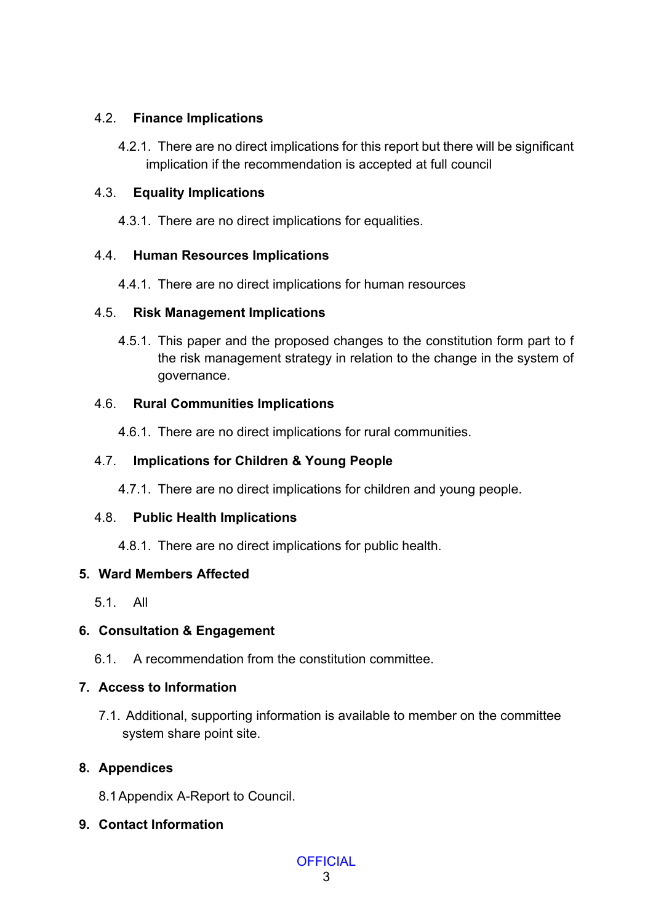#### 4.2. **Finance Implications**

4.2.1. There are no direct implications for this report but there will be significant implication if the recommendation is accepted at full council

#### 4.3. **Equality Implications**

4.3.1. There are no direct implications for equalities.

# 4.4. **Human Resources Implications**

4.4.1. There are no direct implications for human resources

# 4.5. **Risk Management Implications**

4.5.1. This paper and the proposed changes to the constitution form part to f the risk management strategy in relation to the change in the system of governance.

# 4.6. **Rural Communities Implications**

4.6.1. There are no direct implications for rural communities.

# 4.7. **Implications for Children & Young People**

4.7.1. There are no direct implications for children and young people.

# 4.8. **Public Health Implications**

4.8.1. There are no direct implications for public health.

# **5. Ward Members Affected**

5.1. All

# **6. Consultation & Engagement**

6.1. A recommendation from the constitution committee.

# **7. Access to Information**

7.1. Additional, supporting information is available to member on the committee system share point site.

# **8. Appendices**

- 8.1Appendix A-Report to Council.
- **9. Contact Information**